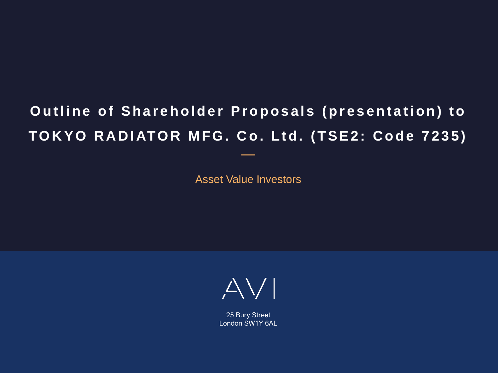# **Outline of Shareholder Proposals (presentation) to** TOKYO RADIATOR MFG. Co. Ltd. (TSE2: Code 7235)

Asset Value Investors

—



25 Bury Street London SW1Y 6AL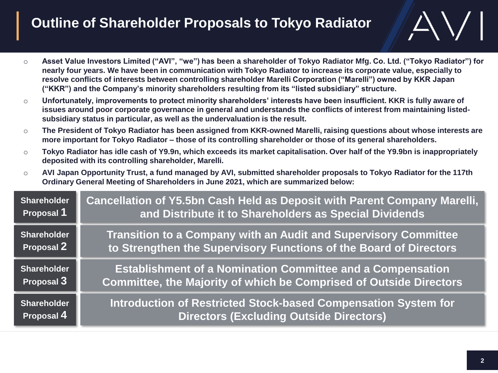# **Outline of Shareholder Proposals to Tokyo Radiator**

- o **Asset Value Investors Limited ("AVI", "we") has been a shareholder of Tokyo Radiator Mfg. Co. Ltd. ("Tokyo Radiator") for nearly four years. We have been in communication with Tokyo Radiator to increase its corporate value, especially to resolve conflicts of interests between controlling shareholder Marelli Corporation ("Marelli") owned by KKR Japan ("KKR") and the Company's minority shareholders resulting from its "listed subsidiary" structure.**
- o **Unfortunately, improvements to protect minority shareholders' interests have been insufficient. KKR is fully aware of issues around poor corporate governance in general and understands the conflicts of interest from maintaining listedsubsidiary status in particular, as well as the undervaluation is the result.**
- o **The President of Tokyo Radiator has been assigned from KKR-owned Marelli, raising questions about whose interests are more important for Tokyo Radiator – those of its controlling shareholder or those of its general shareholders.**
- o **Tokyo Radiator has idle cash of Y9.9n, which exceeds its market capitalisation. Over half of the Y9.9bn is inappropriately deposited with its controlling shareholder, Marelli.**
- o **AVI Japan Opportunity Trust, a fund managed by AVI, submitted shareholder proposals to Tokyo Radiator for the 117th Ordinary General Meeting of Shareholders in June 2021, which are summarized below:**

| <b>Shareholder</b> | Cancellation of Y5.5bn Cash Held as Deposit with Parent Company Marelli, |  |
|--------------------|--------------------------------------------------------------------------|--|
| Proposal 1         | and Distribute it to Shareholders as Special Dividends                   |  |
| <b>Shareholder</b> | <b>Transition to a Company with an Audit and Supervisory Committee</b>   |  |
| Proposal 2         | to Strengthen the Supervisory Functions of the Board of Directors        |  |
| <b>Shareholder</b> | <b>Establishment of a Nomination Committee and a Compensation</b>        |  |
| Proposal 3         | Committee, the Majority of which be Comprised of Outside Directors       |  |
| <b>Shareholder</b> | Introduction of Restricted Stock-based Compensation System for           |  |
| Proposal 4         | Directors (Excluding Outside Directors)                                  |  |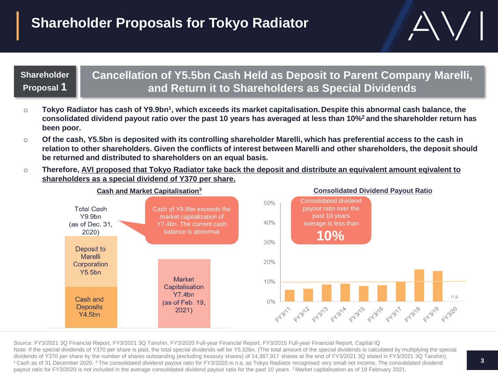### **Shareholder Proposal 1**

### **Cancellation of Y5.5bn Cash Held as Deposit to Parent Company Marelli, and Return it to Shareholders as Special Dividends**

- $\circ$  Tokyo Radiator has cash of Y9.9bn<sup>1</sup>, which exceeds its market capitalisation. Despite this abnormal cash balance, the **consolidated dividend payout ratio over the past 10 years has averaged at less than 10%<sup>2</sup>and the shareholder return has been poor.**
- o **Of the cash, Y5.5bn is deposited with its controlling shareholder Marelli, which has preferential access to the cash in relation to other shareholders. Given the conflicts of interest between Marelli and other shareholders, the deposit should be returned and distributed to shareholders on an equal basis.**
- o **Therefore, AVI proposed that Tokyo Radiator take back the deposit and distribute an equivalent amount eqivalent to shareholders as a special dividend of Y370 per share.**



Source: FY3/2021 3Q Financial Report, FY3/2021 3Q Tanshin, FY3/2020 Full-year Financial Report, FY3/2015 Full-year Financial Report, Capital IQ Note: If the special dividends of Y370 per share is paid, the total special dividends will be Y5.32bn. (The total amount of the special dividends is calculated by multiplying the special dividends of Y370 per share by the number of shares outstanding (excluding treasury shares) of 14,387,917 shares at the end of FY3/2021 3Q stated in FY3/2021 3Q Tanshin). <sup>1</sup> Cash as of 31 December 2020. <sup>2</sup> The consolidated dividend payout ratio for FY3/2020 is n.a. as Tokyo Radiator recognised very small net income. The consolidated dividend payout ratio for FY3/2020 is not included in the average consolidated dividend payout ratio for the past 10 years. <sup>3</sup> Market capitalisation as of 19 February 2021.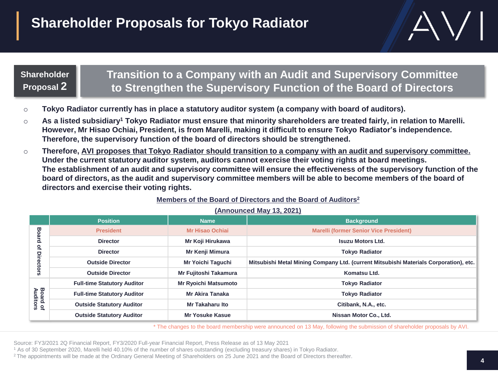# **Shareholder Proposals for Tokyo Radiator**

### **Shareholder Proposal 2**

### **Transition to a Company with an Audit and Supervisory Committee to Strengthen the Supervisory Function of the Board of Directors**

- o **Tokyo Radiator currently has in place a statutory auditor system (a company with board of auditors).**
- o **As a listed subsidiary<sup>1</sup> Tokyo Radiator must ensure that minority shareholders are treated fairly, in relation to Marelli. However, Mr Hisao Ochiai, President, is from Marelli, making it difficult to ensure Tokyo Radiator's independence. Therefore, the supervisory function of the board of directors should be strengthened.**
- o **Therefore, AVI proposes that Tokyo Radiator should transition to a company with an audit and supervisory committee. Under the current statutory auditor system, auditors cannot exercise their voting rights at board meetings. The establishment of an audit and supervisory committee will ensure the effectiveness of the supervisory function of the board of directors, as the audit and supervisory committee members will be able to become members of the board of directors and exercise their voting rights.**

#### **Members of the Board of Directors and the Board of Auditors<sup>2</sup>**

|                                | <b>Position</b>                    | <b>Name</b>                 | <b>Background</b>                                                                     |
|--------------------------------|------------------------------------|-----------------------------|---------------------------------------------------------------------------------------|
| Bo<br>ard<br>ዹ<br>므<br>rectors | <b>President</b>                   | <b>Mr Hisao Ochiai</b>      | <b>Marelli (former Senior Vice President)</b>                                         |
|                                | <b>Director</b>                    | Mr Koji Hirukawa            | <b>Isuzu Motors Ltd.</b>                                                              |
|                                | <b>Director</b>                    | Mr Kenji Mimura             | <b>Tokyo Radiator</b>                                                                 |
|                                | <b>Outside Director</b>            | Mr Yoichi Taguchi           | Mitsubishi Metal Mining Company Ltd. (current Mitsubishi Materials Corporation), etc. |
|                                | <b>Outside Director</b>            | Mr Fujitoshi Takamura       | Komatsu Ltd.                                                                          |
| <b>Board of<br/>Auditors</b>   | <b>Full-time Statutory Auditor</b> | <b>Mr Ryoichi Matsumoto</b> | <b>Tokyo Radiator</b>                                                                 |
|                                | <b>Full-time Statutory Auditor</b> | <b>Mr Akira Tanaka</b>      | <b>Tokyo Radiator</b>                                                                 |
|                                | <b>Outside Statutory Auditor</b>   | Mr Takaharu Ito             | Citibank, N.A., etc.                                                                  |
|                                | <b>Outside Statutory Auditor</b>   | Mr Yosuke Kasue             | Nissan Motor Co., Ltd.                                                                |

#### **(Announced May 13, 2021)**

\* The changes to the board membership were announced on 13 May, following the submission of shareholder proposals by AVI.

Source: FY3/2021 2Q Financial Report, FY3/2020 Full-year Financial Report, Press Release as of 13 May 2021

<sup>1</sup> As of 30 September 2020, Marelli held 40.10% of the number of shares outstanding (excluding treasury shares) in Tokyo Radiator.

<sup>2</sup>The appointments will be made at the Ordinary General Meeting of Shareholders on 25 June 2021 and the Board of Directors thereafter.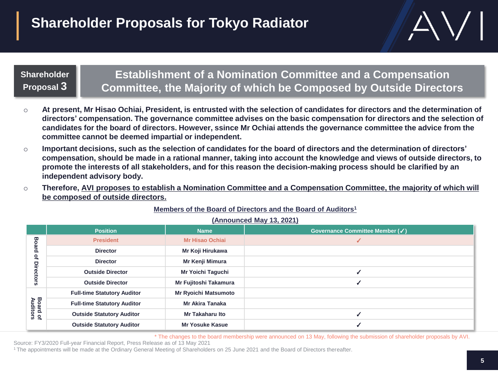# **Shareholder Proposals for Tokyo Radiator**



#### **Shareholder Proposal 3**

### **Establishment of a Nomination Committee and a Compensation Committee, the Majority of which be Composed by Outside Directors**

- o **At present, Mr Hisao Ochiai, President, is entrusted with the selection of candidates for directors and the determination of directors' compensation. The governance committee advises on the basic compensation for directors and the selection of candidates for the board of directors. However, ssince Mr Ochiai attends the governance committee the advice from the committee cannot be deemed impartial or independent.**
- o **Important decisions, such as the selection of candidates for the board of directors and the determination of directors' compensation, should be made in a rational manner, taking into account the knowledge and views of outside directors, to promote the interests of all stakeholders, and for this reason the decision-making process should be clarified by an independent advisory body.**
- o **Therefore, AVI proposes to establish a Nomination Committee and a Compensation Committee, the majority of which will be composed of outside directors.**

|                             | <b>Position</b>                    | <b>Name</b>                 | Governance Committee Member (√) |
|-----------------------------|------------------------------------|-----------------------------|---------------------------------|
| 8<br>൦<br>Չ<br>Ξi           | <b>President</b>                   | <b>Mr Hisao Ochiai</b>      |                                 |
|                             | <b>Director</b>                    | Mr Koji Hirukawa            |                                 |
|                             | <b>Director</b>                    | Mr Kenji Mimura             |                                 |
|                             | <b>Outside Director</b>            | Mr Yoichi Taguchi           |                                 |
|                             | <b>Outside Director</b>            | Mr Fujitoshi Takamura       |                                 |
| <b>Board of</b><br>Auditors | <b>Full-time Statutory Auditor</b> | <b>Mr Ryoichi Matsumoto</b> |                                 |
|                             | <b>Full-time Statutory Auditor</b> | Mr Akira Tanaka             |                                 |
|                             | <b>Outside Statutory Auditor</b>   | <b>Mr Takaharu Ito</b>      |                                 |
|                             | <b>Outside Statutory Auditor</b>   | <b>Mr Yosuke Kasue</b>      |                                 |

#### **Members of the Board of Directors and the Board of Auditors<sup>1</sup>**

**(Announced May 13, 2021)**

\* The changes to the board membership were announced on 13 May, following the submission of shareholder proposals by AVI.

Source: FY3/2020 Full-year Financial Report, Press Release as of 13 May 2021

<sup>1</sup>The appointments will be made at the Ordinary General Meeting of Shareholders on 25 June 2021 and the Board of Directors thereafter.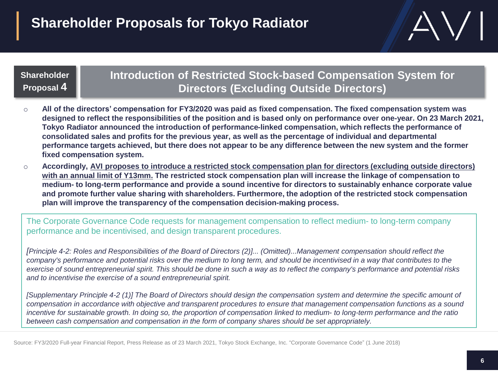# **Shareholder Proposals for Tokyo Radiator**

### **Shareholder Proposal 4**

### **Introduction of Restricted Stock-based Compensation System for Directors (Excluding Outside Directors)**

- o **All of the directors' compensation for FY3/2020 was paid as fixed compensation. The fixed compensation system was designed to reflect the responsibilities of the position and is based only on performance over one-year. On 23 March 2021, Tokyo Radiator announced the introduction of performance-linked compensation, which reflects the performance of consolidated sales and profits for the previous year, as well as the percentage of individual and departmental performance targets achieved, but there does not appear to be any difference between the new system and the former fixed compensation system.**
- o **Accordingly, AVI proposes to introduce a restricted stock compensation plan for directors (excluding outside directors) with an annual limit of Y13mm. The restricted stock compensation plan will increase the linkage of compensation to medium- to long-term performance and provide a sound incentive for directors to sustainably enhance corporate value and promote further value sharing with shareholders. Furthermore, the adoption of the restricted stock compensation plan will improve the transparency of the compensation decision-making process.**

The Corporate Governance Code requests for management compensation to reflect medium- to long-term company performance and be incentivised, and design transparent procedures.

*[Principle 4-2: Roles and Responsibilities of the Board of Directors (2)]... (Omitted)...Management compensation should reflect the company's performance and potential risks over the medium to long term, and should be incentivised in a way that contributes to the exercise of sound entrepreneurial spirit. This should be done in such a way as to reflect the company's performance and potential risks and to incentivise the exercise of a sound entrepreneurial spirit.*

*[Supplementary Principle 4-2 (1)] The Board of Directors should design the compensation system and determine the specific amount of compensation in accordance with objective and transparent procedures to ensure that management compensation functions as a sound incentive for sustainable growth. In doing so, the proportion of compensation linked to medium- to long-term performance and the ratio between cash compensation and compensation in the form of company shares should be set appropriately.*

Source: FY3/2020 Full-year Financial Report, Press Release as of 23 March 2021, Tokyo Stock Exchange, Inc. "Corporate Governance Code" (1 June 2018)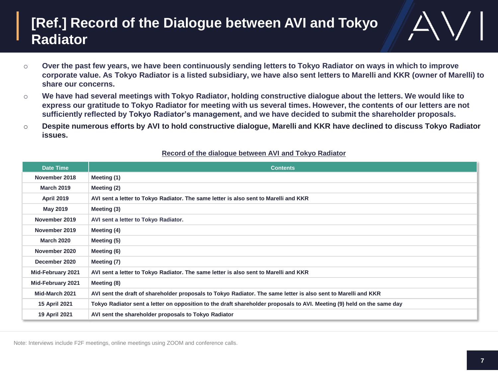## **[Ref.] Record of the Dialogue between AVI and Tokyo Radiator**

- o **Over the past few years, we have been continuously sending letters to Tokyo Radiator on ways in which to improve corporate value. As Tokyo Radiator is a listed subsidiary, we have also sent letters to Marelli and KKR (owner of Marelli) to share our concerns.**
- o **We have had several meetings with Tokyo Radiator, holding constructive dialogue about the letters. We would like to express our gratitude to Tokyo Radiator for meeting with us several times. However, the contents of our letters are not sufficiently reflected by Tokyo Radiator's management, and we have decided to submit the shareholder proposals.**
- o **Despite numerous efforts by AVI to hold constructive dialogue, Marelli and KKR have declined to discuss Tokyo Radiator issues.**

| <b>Date Time</b>         | <b>Contents</b>                                                                                                        |  |
|--------------------------|------------------------------------------------------------------------------------------------------------------------|--|
| November 2018            | Meeting (1)                                                                                                            |  |
| <b>March 2019</b>        | Meeting (2)                                                                                                            |  |
| <b>April 2019</b>        | AVI sent a letter to Tokyo Radiator. The same letter is also sent to Marelli and KKR                                   |  |
| May 2019                 | Meeting (3)                                                                                                            |  |
| November 2019            | AVI sent a letter to Tokyo Radiator.                                                                                   |  |
| November 2019            | Meeting (4)                                                                                                            |  |
| <b>March 2020</b>        | Meeting (5)                                                                                                            |  |
| November 2020            | Meeting (6)                                                                                                            |  |
| December 2020            | Meeting (7)                                                                                                            |  |
| <b>Mid-February 2021</b> | AVI sent a letter to Tokyo Radiator. The same letter is also sent to Marelli and KKR                                   |  |
| Mid-February 2021        | Meeting (8)                                                                                                            |  |
| Mid-March 2021           | AVI sent the draft of shareholder proposals to Tokyo Radiator. The same letter is also sent to Marelli and KKR         |  |
| 15 April 2021            | Tokyo Radiator sent a letter on opposition to the draft shareholder proposals to AVI. Meeting (9) held on the same day |  |
| 19 April 2021            | AVI sent the shareholder proposals to Tokyo Radiator                                                                   |  |

#### **Record of the dialogue between AVI and Tokyo Radiator**

Note: Interviews include F2F meetings, online meetings using ZOOM and conference calls.